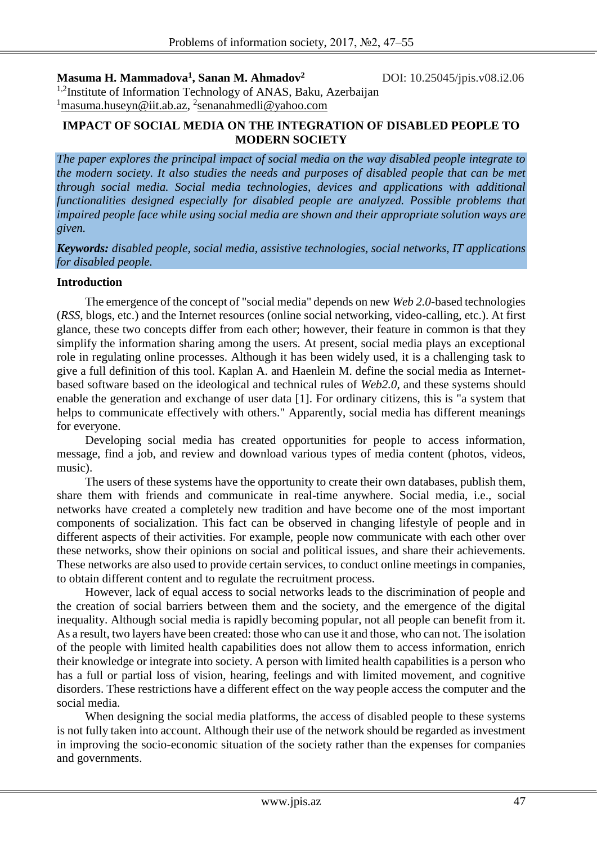**Masuma H. Mammadova<sup>1</sup> , Sanan M. Ahmadov<sup>2</sup>**

DOI: 10.25045/jpis.v08.i2.06

<sup>1,2</sup>Institute of Information Technology of ANAS, Baku, Azerbaijan <sup>1</sup>masuma.huseyn@iit.ab.az, <sup>2</sup>senanahmedli@yahoo.com

## **IMPACT OF SOCIAL MEDIA ON THE INTEGRATION OF DISABLED PEOPLE TO MODERN SOCIETY**

*The paper explores the principal impact of social media on the way disabled people integrate to the modern society. It also studies the needs and purposes of disabled people that can be met through social media. Social media technologies, devices and applications with additional functionalities designed especially for disabled people are analyzed. Possible problems that impaired people face while using social media are shown and their appropriate solution ways are given.* 

*Keywords: disabled people, social media, assistive technologies, social networks, IT applications for disabled people.*

## **Introduction**

The emergence of the concept of "social media" depends on new *Web 2.0*-based technologies (*RSS*, blogs, etc.) and the Internet resources (online social networking, video-calling, etc.). At first glance, these two concepts differ from each other; however, their feature in common is that they simplify the information sharing among the users. At present, social media plays an exceptional role in regulating online processes. Although it has been widely used, it is a challenging task to give a full definition of this tool. Kaplan A. and Haenlein M. define the social media as Internetbased software based on the ideological and technical rules of *Web2.0*, and these systems should enable the generation and exchange of user data [1]. For ordinary citizens, this is "a system that helps to communicate effectively with others." Apparently, social media has different meanings for everyone.

Developing social media has created opportunities for people to access information, message, find a job, and review and download various types of media content (photos, videos, music).

The users of these systems have the opportunity to create their own databases, publish them, share them with friends and communicate in real-time anywhere. Social media, i.e., social networks have created a completely new tradition and have become one of the most important components of socialization. This fact can be observed in changing lifestyle of people and in different aspects of their activities. For example, people now communicate with each other over these networks, show their opinions on social and political issues, and share their achievements. These networks are also used to provide certain services, to conduct online meetings in companies, to obtain different content and to regulate the recruitment process.

However, lack of equal access to social networks leads to the discrimination of people and the creation of social barriers between them and the society, and the emergence of the digital inequality. Although social media is rapidly becoming popular, not all people can benefit from it. As a result, two layers have been created: those who can use it and those, who can not. The isolation of the people with limited health capabilities does not allow them to access information, enrich their knowledge or integrate into society. A person with limited health capabilities is a person who has a full or partial loss of vision, hearing, feelings and with limited movement, and cognitive disorders. These restrictions have a different effect on the way people access the computer and the social media.

When designing the social media platforms, the access of disabled people to these systems is not fully taken into account. Although their use of the network should be regarded as investment in improving the socio-economic situation of the society rather than the expenses for companies and governments.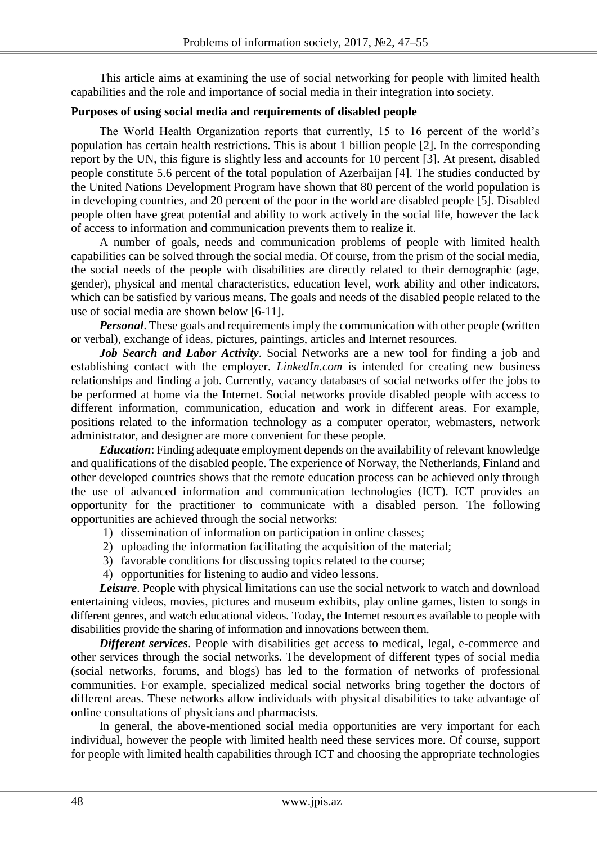This article aims at examining the use of social networking for people with limited health capabilities and the role and importance of social media in their integration into society.

## **Purposes of using social media and requirements of disabled people**

The World Health Organization reports that currently, 15 to 16 percent of the world's population has certain health restrictions. This is about 1 billion people [2]. In the corresponding report by the UN, this figure is slightly less and accounts for 10 percent [3]. At present, disabled people constitute 5.6 percent of the total population of Azerbaijan [4]. The studies conducted by the United Nations Development Program have shown that 80 percent of the world population is in developing countries, and 20 percent of the poor in the world are disabled people [5]. Disabled people often have great potential and ability to work actively in the social life, however the lack of access to information and communication prevents them to realize it.

A number of goals, needs and communication problems of people with limited health capabilities can be solved through the social media. Of course, from the prism of the social media, the social needs of the people with disabilities are directly related to their demographic (age, gender), physical and mental characteristics, education level, work ability and other indicators, which can be satisfied by various means. The goals and needs of the disabled people related to the use of social media are shown below [6-11].

*Personal*. These goals and requirements imply the communication with other people (written or verbal), exchange of ideas, pictures, paintings, articles and Internet resources.

*Job Search and Labor Activity*. Social Networks are a new tool for finding a job and establishing contact with the employer. *LinkedIn.com* is intended for creating new business relationships and finding a job. Currently, vacancy databases of social networks offer the jobs to be performed at home via the Internet. Social networks provide disabled people with access to different information, communication, education and work in different areas. For example, positions related to the information technology as a computer operator, webmasters, network administrator, and designer are more convenient for these people.

*Education*: Finding adequate employment depends on the availability of relevant knowledge and qualifications of the disabled people. The experience of Norway, the Netherlands, Finland and other developed countries shows that the remote education process can be achieved only through the use of advanced information and communication technologies (ICT). ICT provides an opportunity for the practitioner to communicate with a disabled person. The following opportunities are achieved through the social networks:

- 1) dissemination of information on participation in online classes;
- 2) uploading the information facilitating the acquisition of the material;
- 3) favorable conditions for discussing topics related to the course;
- 4) opportunities for listening to audio and video lessons.

**Leisure**. People with physical limitations can use the social network to watch and download entertaining videos, movies, pictures and museum exhibits, play online games, listen to songs in different genres, and watch educational videos. Today, the Internet resources available to people with disabilities provide the sharing of information and innovations between them.

*Different services*. People with disabilities get access to medical, legal, e-commerce and other services through the social networks. The development of different types of social media (social networks, forums, and blogs) has led to the formation of networks of professional communities. For example, specialized medical social networks bring together the doctors of different areas. These networks allow individuals with physical disabilities to take advantage of online consultations of physicians and pharmacists.

In general, the above-mentioned social media opportunities are very important for each individual, however the people with limited health need these services more. Of course, support for people with limited health capabilities through ICT and choosing the appropriate technologies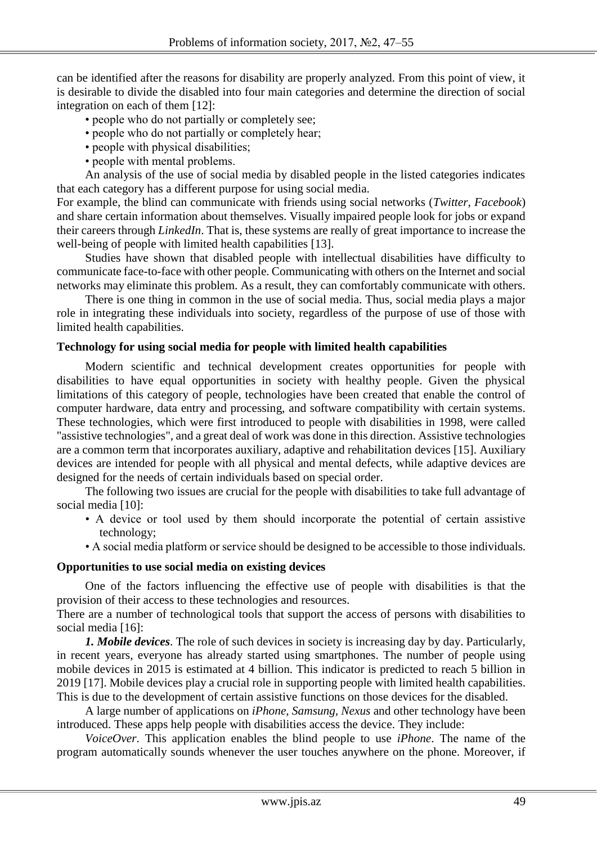can be identified after the reasons for disability are properly analyzed. From this point of view, it is desirable to divide the disabled into four main categories and determine the direction of social integration on each of them [12]:

- people who do not partially or completely see;
- people who do not partially or completely hear;
- people with physical disabilities;
- people with mental problems.

An analysis of the use of social media by disabled people in the listed categories indicates that each category has a different purpose for using social media.

For example, the blind can communicate with friends using social networks (*Twitter, Facebook*) and share certain information about themselves. Visually impaired people look for jobs or expand their careers through *LinkedIn*. That is, these systems are really of great importance to increase the well-being of people with limited health capabilities [13].

Studies have shown that disabled people with intellectual disabilities have difficulty to communicate face-to-face with other people. Communicating with others on the Internet and social networks may eliminate this problem. As a result, they can comfortably communicate with others.

There is one thing in common in the use of social media. Thus, social media plays a major role in integrating these individuals into society, regardless of the purpose of use of those with limited health capabilities.

#### **Technology for using social media for people with limited health capabilities**

Modern scientific and technical development creates opportunities for people with disabilities to have equal opportunities in society with healthy people. Given the physical limitations of this category of people, technologies have been created that enable the control of computer hardware, data entry and processing, and software compatibility with certain systems. These technologies, which were first introduced to people with disabilities in 1998, were called "assistive technologies", and a great deal of work was done in this direction. Assistive technologies are a common term that incorporates auxiliary, adaptive and rehabilitation devices [15]. Auxiliary devices are intended for people with all physical and mental defects, while adaptive devices are designed for the needs of certain individuals based on special order.

The following two issues are crucial for the people with disabilities to take full advantage of social media [10]:

- A device or tool used by them should incorporate the potential of certain assistive technology;
- A social media platform or service should be designed to be accessible to those individuals.

## **Opportunities to use social media on existing devices**

One of the factors influencing the effective use of people with disabilities is that the provision of their access to these technologies and resources.

There are a number of technological tools that support the access of persons with disabilities to social media [16]:

*1. Mobile devices*. The role of such devices in society is increasing day by day. Particularly, in recent years, everyone has already started using smartphones. The number of people using mobile devices in 2015 is estimated at 4 billion. This indicator is predicted to reach 5 billion in 2019 [17]. Mobile devices play a crucial role in supporting people with limited health capabilities. This is due to the development of certain assistive functions on those devices for the disabled.

A large number of applications on *iPhone, Samsung, Nexus* and other technology have been introduced. These apps help people with disabilities access the device. They include:

*VoiceOver*. This application enables the blind people to use *iPhone*. The name of the program automatically sounds whenever the user touches anywhere on the phone. Moreover, if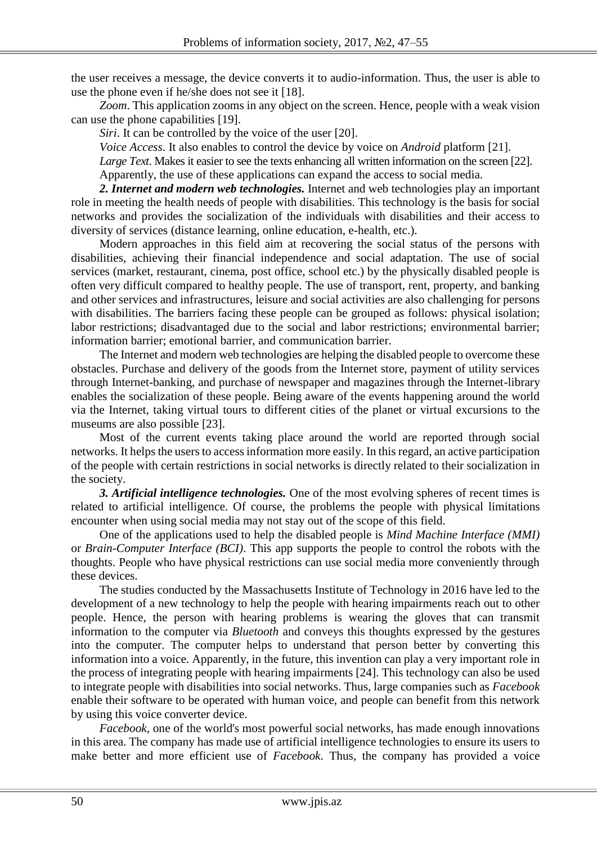the user receives a message, the device converts it to audio-information. Thus, the user is able to use the phone even if he/she does not see it [18].

*Zoom*. This application zooms in any object on the screen. Hence, people with a weak vision can use the phone capabilities [19].

*Siri*. It can be controlled by the voice of the user [20].

*Voice Access*. It also enables to control the device by voice on *Android* platform [21].

*Large Text*. Makes it easier to see the texts enhancing all written information on the screen [22].

Apparently, the use of these applications can expand the access to social media.

*2. Internet and modern web technologies.* Internet and web technologies play an important role in meeting the health needs of people with disabilities. This technology is the basis for social networks and provides the socialization of the individuals with disabilities and their access to diversity of services (distance learning, online education, e-health, etc.).

Modern approaches in this field aim at recovering the social status of the persons with disabilities, achieving their financial independence and social adaptation. The use of social services (market, restaurant, cinema, post office, school etc.) by the physically disabled people is often very difficult compared to healthy people. The use of transport, rent, property, and banking and other services and infrastructures, leisure and social activities are also challenging for persons with disabilities. The barriers facing these people can be grouped as follows: physical isolation; labor restrictions; disadvantaged due to the social and labor restrictions; environmental barrier; information barrier; emotional barrier, and communication barrier.

The Internet and modern web technologies are helping the disabled people to overcome these obstacles. Purchase and delivery of the goods from the Internet store, payment of utility services through Internet-banking, and purchase of newspaper and magazines through the Internet-library enables the socialization of these people. Being aware of the events happening around the world via the Internet, taking virtual tours to different cities of the planet or virtual excursions to the museums are also possible [23].

Most of the current events taking place around the world are reported through social networks. It helps the users to access information more easily. In this regard, an active participation of the people with certain restrictions in social networks is directly related to their socialization in the society.

*3. Artificial intelligence technologies.* One of the most evolving spheres of recent times is related to artificial intelligence. Of course, the problems the people with physical limitations encounter when using social media may not stay out of the scope of this field.

One of the applications used to help the disabled people is *Mind Machine Interface (MMI)* or *Brain-Computer Interface (BCI)*. This app supports the people to control the robots with the thoughts. People who have physical restrictions can use social media more conveniently through these devices.

The studies conducted by the Massachusetts Institute of Technology in 2016 have led to the development of a new technology to help the people with hearing impairments reach out to other people. Hence, the person with hearing problems is wearing the gloves that can transmit information to the computer via *Bluetooth* and conveys this thoughts expressed by the gestures into the computer. The computer helps to understand that person better by converting this information into a voice. Apparently, in the future, this invention can play a very important role in the process of integrating people with hearing impairments [24]. This technology can also be used to integrate people with disabilities into social networks. Thus, large companies such as *Facebook* enable their software to be operated with human voice, and people can benefit from this network by using this voice converter device.

*Facebook*, one of the world's most powerful social networks, has made enough innovations in this area. The company has made use of artificial intelligence technologies to ensure its users to make better and more efficient use of *Facebook*. Thus, the company has provided a voice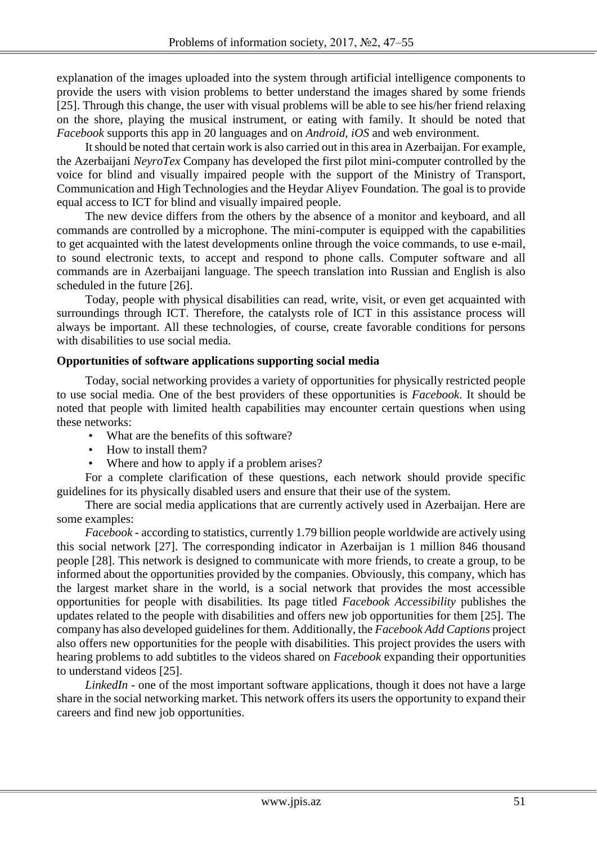explanation of the images uploaded into the system through artificial intelligence components to provide the users with vision problems to better understand the images shared by some friends [25]. Through this change, the user with visual problems will be able to see his/her friend relaxing on the shore, playing the musical instrument, or eating with family. It should be noted that *Facebook* supports this app in 20 languages and on *Android, iOS* and web environment.

It should be noted that certain work is also carried out in this area in Azerbaijan. For example, the Azerbaijani *NeyroTex* Company has developed the first pilot mini-computer controlled by the voice for blind and visually impaired people with the support of the Ministry of Transport, Communication and High Technologies and the Heydar Aliyev Foundation. The goal is to provide equal access to ICT for blind and visually impaired people.

The new device differs from the others by the absence of a monitor and keyboard, and all commands are controlled by a microphone. The mini-computer is equipped with the capabilities to get acquainted with the latest developments online through the voice commands, to use e-mail, to sound electronic texts, to accept and respond to phone calls. Computer software and all commands are in Azerbaijani language. The speech translation into Russian and English is also scheduled in the future [26].

Today, people with physical disabilities can read, write, visit, or even get acquainted with surroundings through ICT. Therefore, the catalysts role of ICT in this assistance process will always be important. All these technologies, of course, create favorable conditions for persons with disabilities to use social media.

#### **Opportunities of software applications supporting social media**

Today, social networking provides a variety of opportunities for physically restricted people to use social media. One of the best providers of these opportunities is *Facebook*. It should be noted that people with limited health capabilities may encounter certain questions when using these networks:

- What are the benefits of this software?
- How to install them?
- Where and how to apply if a problem arises?

For a complete clarification of these questions, each network should provide specific guidelines for its physically disabled users and ensure that their use of the system.

There are social media applications that are currently actively used in Azerbaijan. Here are some examples:

*Facebook* - according to statistics, currently 1.79 billion people worldwide are actively using this social network [27]. The corresponding indicator in Azerbaijan is 1 million 846 thousand people [28]. This network is designed to communicate with more friends, to create a group, to be informed about the opportunities provided by the companies. Obviously, this company, which has the largest market share in the world, is a social network that provides the most accessible opportunities for people with disabilities. Its page titled *Facebook Accessibility* publishes the updates related to the people with disabilities and offers new job opportunities for them [25]. The company has also developed guidelines for them. Additionally, the *Facebook Add Captions* project also offers new opportunities for the people with disabilities. This project provides the users with hearing problems to add subtitles to the videos shared on *Facebook* expanding their opportunities to understand videos [25].

*LinkedIn* - one of the most important software applications, though it does not have a large share in the social networking market. This network offers its users the opportunity to expand their careers and find new job opportunities.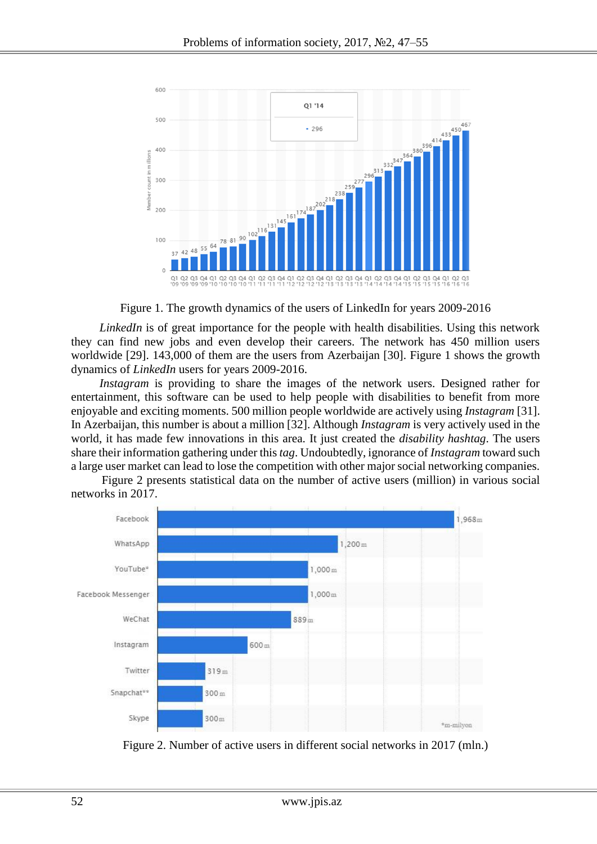

Figure 1. The growth dynamics of the users of LinkedIn for years 2009-2016

*LinkedIn* is of great importance for the people with health disabilities. Using this network they can find new jobs and even develop their careers. The network has 450 million users worldwide [29]. 143,000 of them are the users from Azerbaijan [30]. Figure 1 shows the growth dynamics of *LinkedIn* users for years 2009-2016.

*Instagram* is providing to share the images of the network users. Designed rather for entertainment, this software can be used to help people with disabilities to benefit from more enjoyable and exciting moments. 500 million people worldwide are actively using *Instagram* [31]. In Azerbaijan, this number is about a million [32]. Although *Instagram* is very actively used in the world, it has made few innovations in this area. It just created the *disability hashtag*. The users share their information gathering under this *tag*. Undoubtedly, ignorance of *Instagram* toward such a large user market can lead to lose the competition with other major social networking companies.

 Figure 2 presents statistical data on the number of active users (million) in various social networks in 2017.



Figure 2. Number of active users in different social networks in 2017 (mln.)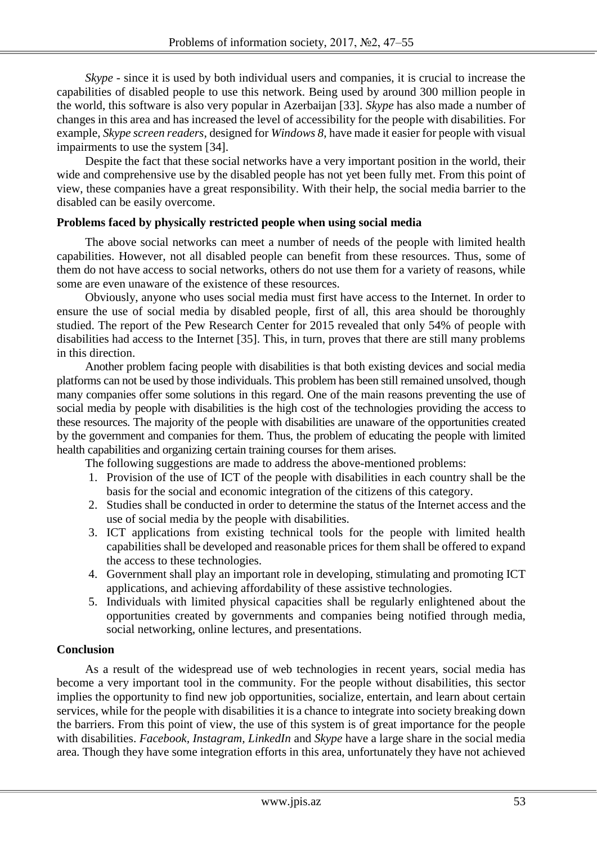*Skype* - since it is used by both individual users and companies, it is crucial to increase the capabilities of disabled people to use this network. Being used by around 300 million people in the world, this software is also very popular in Azerbaijan [33]. *Skype* has also made a number of changes in this area and has increased the level of accessibility for the people with disabilities. For example, *Skype screen readers*, designed for *Windows 8*, have made it easier for people with visual impairments to use the system [34].

Despite the fact that these social networks have a very important position in the world, their wide and comprehensive use by the disabled people has not yet been fully met. From this point of view, these companies have a great responsibility. With their help, the social media barrier to the disabled can be easily overcome.

#### **Problems faced by physically restricted people when using social media**

The above social networks can meet a number of needs of the people with limited health capabilities. However, not all disabled people can benefit from these resources. Thus, some of them do not have access to social networks, others do not use them for a variety of reasons, while some are even unaware of the existence of these resources.

Obviously, anyone who uses social media must first have access to the Internet. In order to ensure the use of social media by disabled people, first of all, this area should be thoroughly studied. The report of the Pew Research Center for 2015 revealed that only 54% of people with disabilities had access to the Internet [35]. This, in turn, proves that there are still many problems in this direction.

Another problem facing people with disabilities is that both existing devices and social media platforms can not be used by those individuals. This problem has been still remained unsolved, though many companies offer some solutions in this regard. One of the main reasons preventing the use of social media by people with disabilities is the high cost of the technologies providing the access to these resources. The majority of the people with disabilities are unaware of the opportunities created by the government and companies for them. Thus, the problem of educating the people with limited health capabilities and organizing certain training courses for them arises.

The following suggestions are made to address the above-mentioned problems:

- 1. Provision of the use of ICT of the people with disabilities in each country shall be the basis for the social and economic integration of the citizens of this category.
- 2. Studies shall be conducted in order to determine the status of the Internet access and the use of social media by the people with disabilities.
- 3. ICT applications from existing technical tools for the people with limited health capabilities shall be developed and reasonable prices for them shall be offered to expand the access to these technologies.
- 4. Government shall play an important role in developing, stimulating and promoting ICT applications, and achieving affordability of these assistive technologies.
- 5. Individuals with limited physical capacities shall be regularly enlightened about the opportunities created by governments and companies being notified through media, social networking, online lectures, and presentations.

## **Conclusion**

As a result of the widespread use of web technologies in recent years, social media has become a very important tool in the community. For the people without disabilities, this sector implies the opportunity to find new job opportunities, socialize, entertain, and learn about certain services, while for the people with disabilities it is a chance to integrate into society breaking down the barriers. From this point of view, the use of this system is of great importance for the people with disabilities. *Facebook, Instagram, LinkedIn* and *Skype* have a large share in the social media area. Though they have some integration efforts in this area, unfortunately they have not achieved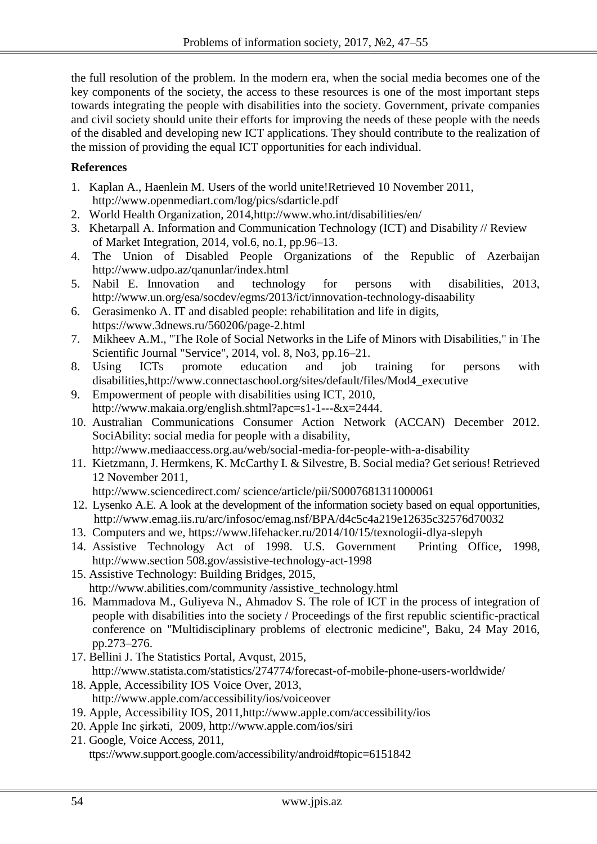the full resolution of the problem. In the modern era, when the social media becomes one of the key components of the society, the access to these resources is one of the most important steps towards integrating the people with disabilities into the society. Government, private companies and civil society should unite their efforts for improving the needs of these people with the needs of the disabled and developing new ICT applications. They should contribute to the realization of the mission of providing the equal ICT opportunities for each individual.

# **References**

- 1. Kaplan A., Haenlein M. Users of the world unite!Retrieved 10 November 2011, <http://www.openmediart.com/log/pics/sdarticle.pdf>
- 2. World Health Organization, 2014,http:/[/www.who.int/disabilities/en/](http://www.who.int/disabilities/en/)
- 3. Khetarpall A. Information and Communication Technology (ICT) and Disability // Review of Market Integration, 2014, vol.6, no.1, pp.96–13.
- 4. The Union of Disabled People Organizations of the Republic of Azerbaijan http:/[/www.udpo.az/qanunlar/index.html](http://www.udpo.az/qanunlar/index.html)
- 5. Nabil E. Innovation and technology for persons with disabilities, 2013, <http://www.un.org/esa/socdev/egms/2013/ict/innovation-technology-disaability>
- 6. Gerasimenko A. IT and disabled people: rehabilitation and life in digits, https://www.3dnews.ru/560206/page-2.html
- 7. Mikheev A.M., "The Role of Social Networks in the Life of Minors with Disabilities," in The Scientific Journal "Service", 2014, vol. 8, No3, pp.16–21.
- 8. Using ICTs promote education and job training for persons with disabilities,http://www.connectaschool.org/sites/default/files/Mod4\_executive
- 9. Empowerment of people with disabilities using ICT, 2010, http://www.makaia.org/english.shtml?apc=s1-1---&x=2444.
- 10. Australian Communications Consumer Action Network (ACCAN) December 2012. SociAbility: social media for people with a disability, http://www.mediaaccess.org.au/web/social-media-for-people-with-a-disability
- 11. Kietzmann, J. Hermkens, K. McCarthy I. & Silvestre, B. Social media? Get serious! Retrieved 12 November 2011,

http://www.sciencedirect.com/ science/article/pii/S0007681311000061

- 12. Lysenko A.E. A look at the development of the information society based on equal opportunities, http://www.emag.iis.ru/arc/infosoc/emag.nsf/BPA/d4c5c4a219e12635c32576d70032
- 13. Computers and we, https://www.lifehacker.ru/2014/10/15/texnologii-dlya-slepyh
- 14. Assistive Technology Act of 1998. U.S. Government Printing Office, 1998, http://www.section 508.gov/assistive-technology-act-1998
- 15. Assistive Technology: Building Bridges, 2015, http://www.abilities.com/community /assistive\_technology.html
- 16. Mammadova M., Guliyeva N., Ahmadov S. The role of ICT in the process of integration of people with disabilities into the society / Proceedings of the first republic scientific-practical conference on "Multidisciplinary problems of electronic medicine", Baku, 24 May 2016, pp.273–276.
- 17. Bellini J. The Statistics Portal, Avqust, 2015,

http://www.statista.com/statistics/274774/forecast-of-mobile-phone-users-worldwide/

- 18. Apple, Accessibility IOS Voice Over, 2013, http://www.apple.com/accessibility/ios/voiceover
- 19. Apple, Accessibility IOS, 2011,http://www.apple.com/accessibility/ios
- 20. Apple Inc şirkəti, 2009,<http://www.apple.com/ios/siri>
- 21. Google, Voice Access, 2011, ttps://www.support.google.com/accessibility/android#topic=6151842